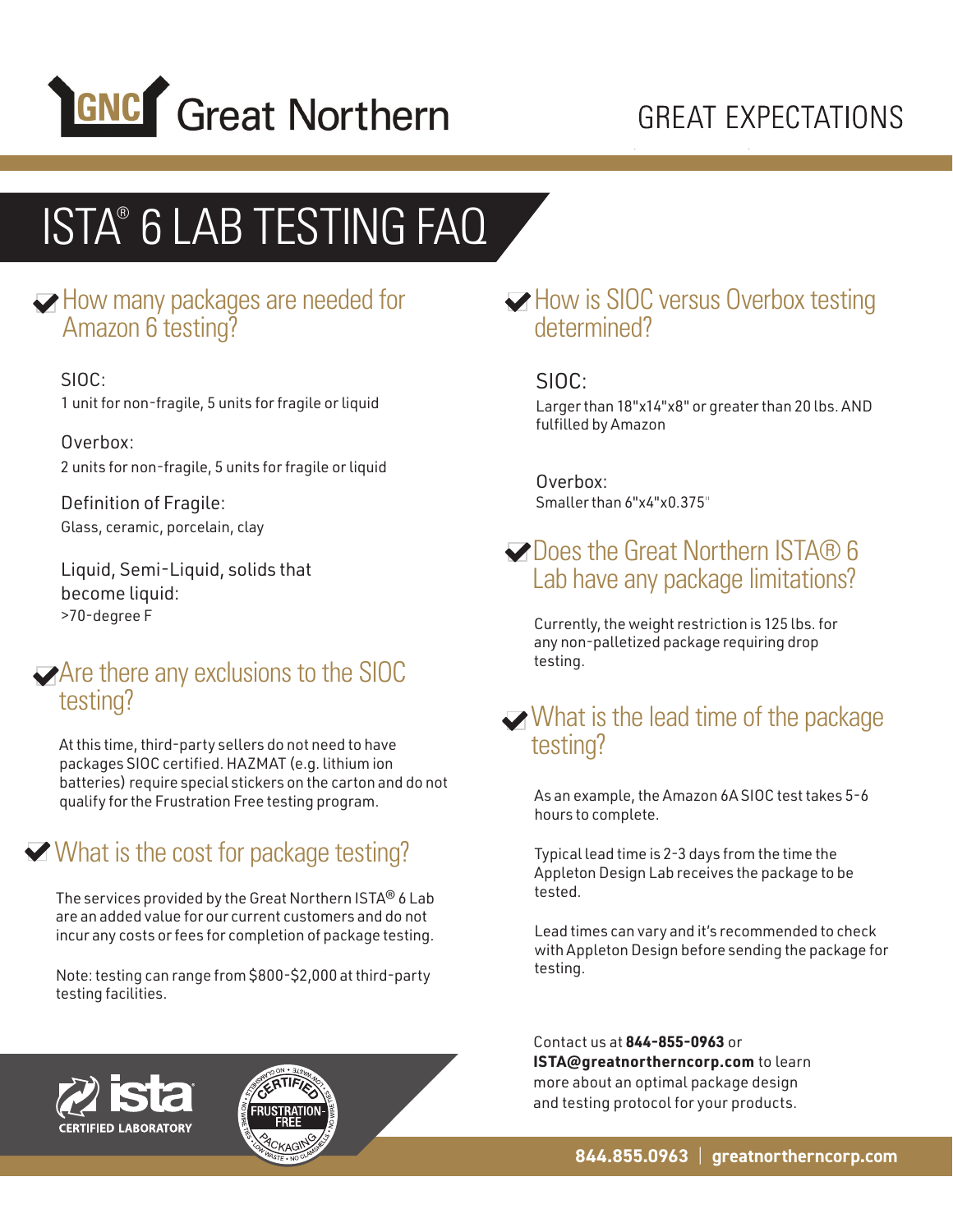

## **GREAT EXPECTATIONS**

## ISTA® 6 LAB TESTING FAQ

### How many packages are needed for Amazon 6 testing?

SIOC: 1 unit for non-fragile, 5 units for fragile or liquid

Overbox: 2 units for non-fragile, 5 units for fragile or liquid

Definition of Fragile: Glass, ceramic, porcelain, clay

Liquid, Semi-Liquid, solids that become liquid: >70-degree F

### Are there any exclusions to the SIOC testing?

At this time, third-party sellers do not need to have packages SIOC certified. HAZMAT (e.g. lithium ion batteries) require special stickers on the carton and do not qualify for the Frustration Free testing program.

### What is the cost for package testing?

The services provided by the Great Northern ISTA® 6 Lab are an added value for our current customers and do not incur any costs or fees for completion of package testing.

Note: testing can range from \$800-\$2,000 at third-party testing facilities.

### How is SIOC versus Overbox testing determined?

### SIOC:

Larger than 18"x14"x8" or greater than 20 lbs. AND fulfilled by Amazon

Overbox: Smaller than 6"x4"x0.375"

### **Does the Great Northern ISTA® 6** Lab have any package limitations?

Currently, the weight restriction is 125 lbs. for any non-palletized package requiring drop testing.

### $\blacktriangleright$  What is the lead time of the package testing?

As an example, the Amazon 6A SIOC test takes 5-6 hours to complete.

Typical lead time is 2-3 days from the time the Appleton Design Lab receives the package to be tested.

Lead times can vary and it's recommended to check with Appleton Design before sending the package for testing.

Contact us at **844-855-0963** or **ISTA@greatnortherncorp.com** to learn more about an optimal package design and testing protocol for your products.